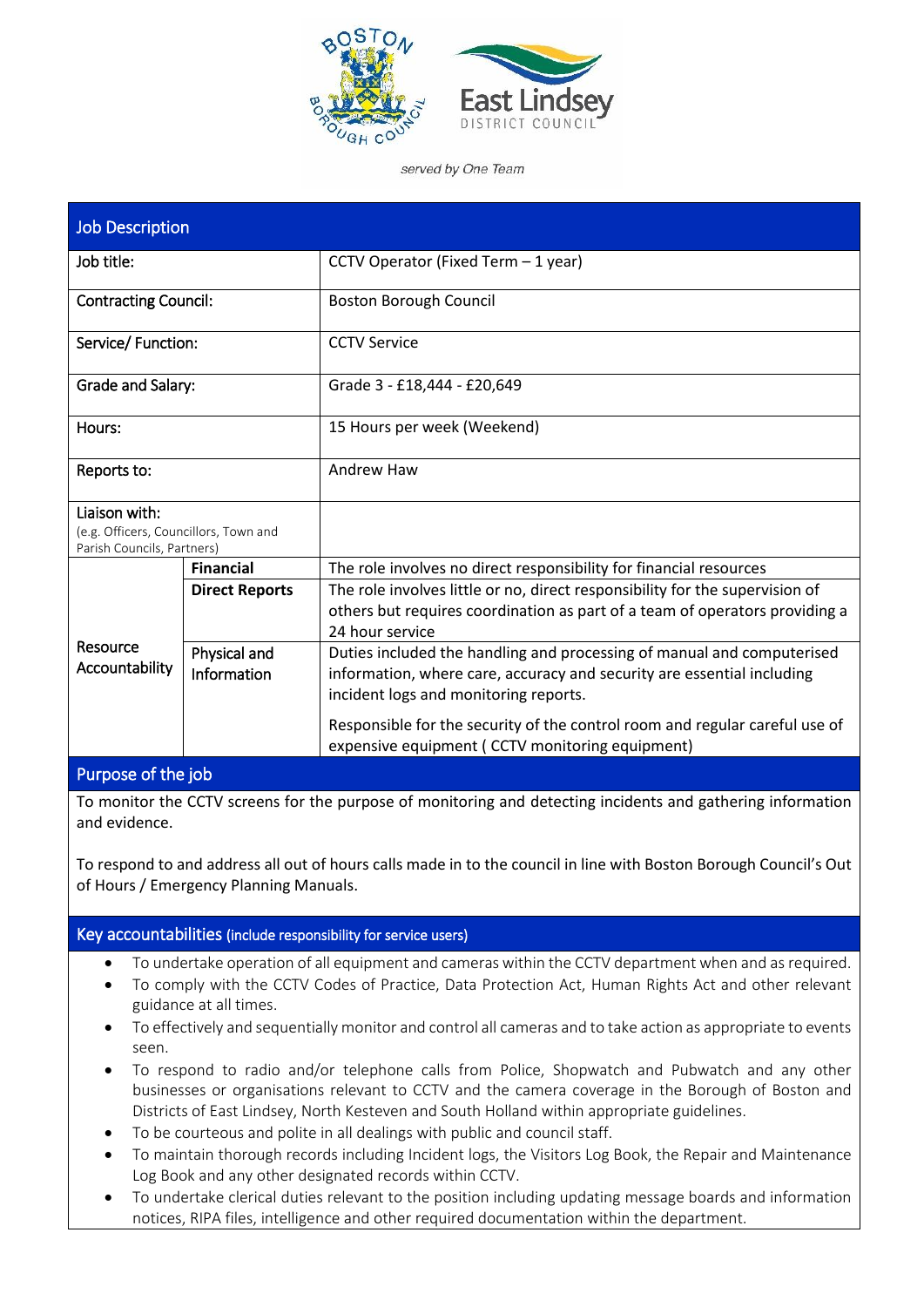

served by One Team

| <b>Job Description</b>                                                               |                             |                                                                                                                                                                                                                                                                                                                              |  |  |
|--------------------------------------------------------------------------------------|-----------------------------|------------------------------------------------------------------------------------------------------------------------------------------------------------------------------------------------------------------------------------------------------------------------------------------------------------------------------|--|--|
| Job title:                                                                           |                             | CCTV Operator (Fixed Term - 1 year)                                                                                                                                                                                                                                                                                          |  |  |
| <b>Contracting Council:</b>                                                          |                             | <b>Boston Borough Council</b>                                                                                                                                                                                                                                                                                                |  |  |
| Service/ Function:                                                                   |                             | <b>CCTV Service</b>                                                                                                                                                                                                                                                                                                          |  |  |
| Grade and Salary:                                                                    |                             | Grade 3 - £18,444 - £20,649                                                                                                                                                                                                                                                                                                  |  |  |
| Hours:                                                                               |                             | 15 Hours per week (Weekend)                                                                                                                                                                                                                                                                                                  |  |  |
| Reports to:                                                                          |                             | Andrew Haw                                                                                                                                                                                                                                                                                                                   |  |  |
| Liaison with:<br>(e.g. Officers, Councillors, Town and<br>Parish Councils, Partners) |                             |                                                                                                                                                                                                                                                                                                                              |  |  |
|                                                                                      | <b>Financial</b>            | The role involves no direct responsibility for financial resources                                                                                                                                                                                                                                                           |  |  |
| Resource<br>Accountability                                                           | <b>Direct Reports</b>       | The role involves little or no, direct responsibility for the supervision of<br>others but requires coordination as part of a team of operators providing a<br>24 hour service                                                                                                                                               |  |  |
|                                                                                      | Physical and<br>Information | Duties included the handling and processing of manual and computerised<br>information, where care, accuracy and security are essential including<br>incident logs and monitoring reports.<br>Responsible for the security of the control room and regular careful use of<br>expensive equipment ( CCTV monitoring equipment) |  |  |

# Purpose of the job

To monitor the CCTV screens for the purpose of monitoring and detecting incidents and gathering information and evidence.

To respond to and address all out of hours calls made in to the council in line with Boston Borough Council's Out of Hours / Emergency Planning Manuals.

#### Key accountabilities (include responsibility for service users)

- To undertake operation of all equipment and cameras within the CCTV department when and as required.
- To comply with the CCTV Codes of Practice, Data Protection Act, Human Rights Act and other relevant guidance at all times.
- To effectively and sequentially monitor and control all cameras and to take action as appropriate to events seen.
- To respond to radio and/or telephone calls from Police, Shopwatch and Pubwatch and any other businesses or organisations relevant to CCTV and the camera coverage in the Borough of Boston and Districts of East Lindsey, North Kesteven and South Holland within appropriate guidelines.
- To be courteous and polite in all dealings with public and council staff.
- To maintain thorough records including Incident logs, the Visitors Log Book, the Repair and Maintenance Log Book and any other designated records within CCTV.
- To undertake clerical duties relevant to the position including updating message boards and information notices, RIPA files, intelligence and other required documentation within the department.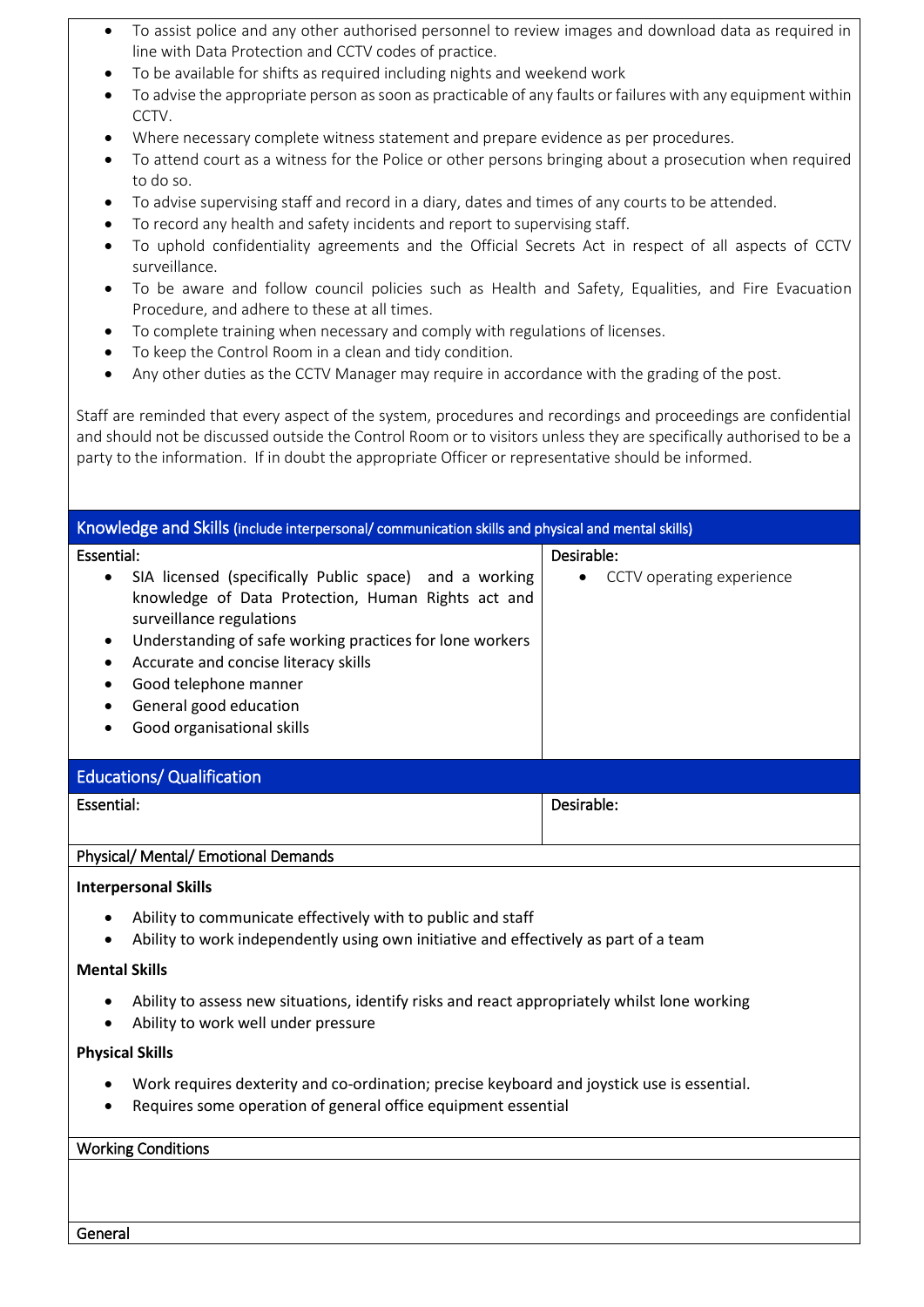- To assist police and any other authorised personnel to review images and download data as required in line with Data Protection and CCTV codes of practice.
- To be available for shifts as required including nights and weekend work
- To advise the appropriate person as soon as practicable of any faults or failures with any equipment within CCTV.
- Where necessary complete witness statement and prepare evidence as per procedures.
- To attend court as a witness for the Police or other persons bringing about a prosecution when required to do so.
- To advise supervising staff and record in a diary, dates and times of any courts to be attended.
- To record any health and safety incidents and report to supervising staff.
- To uphold confidentiality agreements and the Official Secrets Act in respect of all aspects of CCTV surveillance.
- To be aware and follow council policies such as Health and Safety, Equalities, and Fire Evacuation Procedure, and adhere to these at all times.
- To complete training when necessary and comply with regulations of licenses.
- To keep the Control Room in a clean and tidy condition.
- Any other duties as the CCTV Manager may require in accordance with the grading of the post.

Staff are reminded that every aspect of the system, procedures and recordings and proceedings are confidential and should not be discussed outside the Control Room or to visitors unless they are specifically authorised to be a party to the information. If in doubt the appropriate Officer or representative should be informed.

| Knowledge and Skills (include interpersonal/ communication skills and physical and mental skills)                                                                                                                                                                                                                                                                          |                                                      |  |  |  |  |
|----------------------------------------------------------------------------------------------------------------------------------------------------------------------------------------------------------------------------------------------------------------------------------------------------------------------------------------------------------------------------|------------------------------------------------------|--|--|--|--|
| Essential:<br>SIA licensed (specifically Public space) and a working<br>$\bullet$<br>knowledge of Data Protection, Human Rights act and<br>surveillance regulations<br>Understanding of safe working practices for lone workers<br>$\bullet$<br>Accurate and concise literacy skills<br>٠<br>Good telephone manner<br>General good education<br>Good organisational skills | Desirable:<br>CCTV operating experience<br>$\bullet$ |  |  |  |  |
| <b>Educations/ Qualification</b>                                                                                                                                                                                                                                                                                                                                           |                                                      |  |  |  |  |
| Essential:                                                                                                                                                                                                                                                                                                                                                                 | Desirable:                                           |  |  |  |  |
| Physical/ Mental/ Emotional Demands                                                                                                                                                                                                                                                                                                                                        |                                                      |  |  |  |  |
| <b>Interpersonal Skills</b>                                                                                                                                                                                                                                                                                                                                                |                                                      |  |  |  |  |
| Ability to communicate effectively with to public and staff<br>$\bullet$<br>Ability to work independently using own initiative and effectively as part of a team                                                                                                                                                                                                           |                                                      |  |  |  |  |
| <b>Mental Skills</b>                                                                                                                                                                                                                                                                                                                                                       |                                                      |  |  |  |  |
| Ability to assess new situations, identify risks and react appropriately whilst lone working<br>Ability to work well under pressure                                                                                                                                                                                                                                        |                                                      |  |  |  |  |
| <b>Physical Skills</b>                                                                                                                                                                                                                                                                                                                                                     |                                                      |  |  |  |  |
| Work requires dexterity and co-ordination; precise keyboard and joystick use is essential.<br>$\bullet$<br>Requires some operation of general office equipment essential                                                                                                                                                                                                   |                                                      |  |  |  |  |
| <b>Working Conditions</b>                                                                                                                                                                                                                                                                                                                                                  |                                                      |  |  |  |  |
|                                                                                                                                                                                                                                                                                                                                                                            |                                                      |  |  |  |  |

General